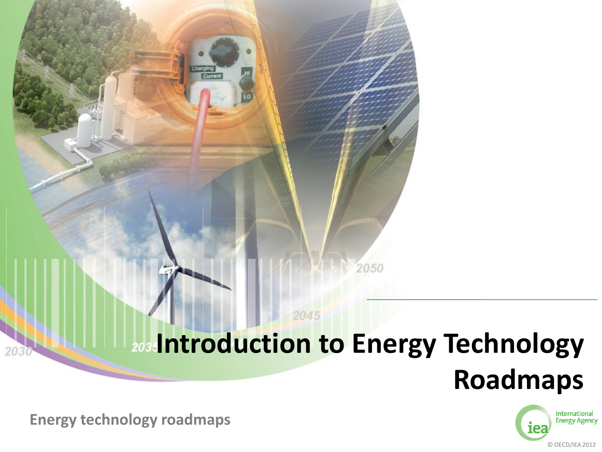## **2034 ntroduction to Energy Technology**

2045

2050



© OECD/IEA 2012

**Energy technology roadmaps Energy technology roadmaps**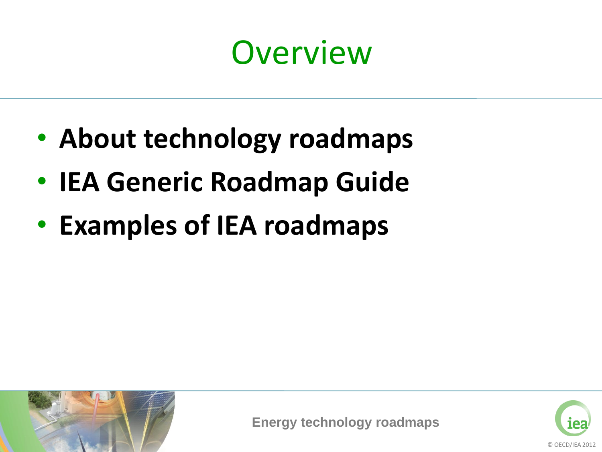## **Overview**

- **About technology roadmaps**
- **IEA Generic Roadmap Guide**
- **Examples of IEA roadmaps**



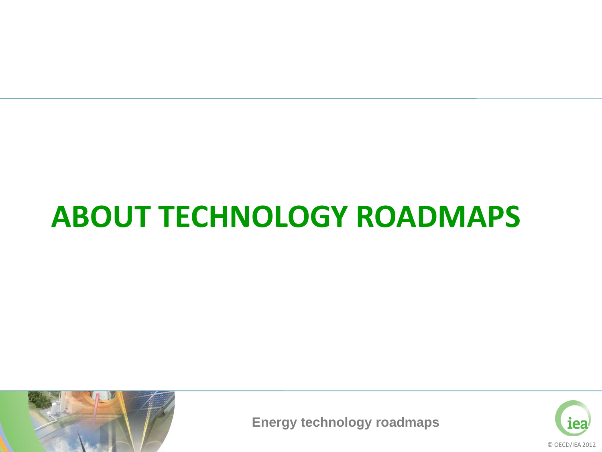#### **ABOUT TECHNOLOGY ROADMAPS**



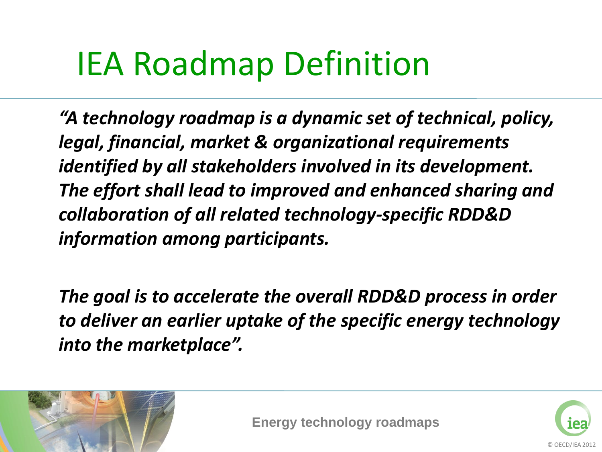## IEA Roadmap Definition

*"A technology roadmap is a dynamic set of technical, policy, legal, financial, market & organizational requirements identified by all stakeholders involved in its development. The effort shall lead to improved and enhanced sharing and collaboration of all related technology-specific RDD&D information among participants.* 

*The goal is to accelerate the overall RDD&D process in order to deliver an earlier uptake of the specific energy technology into the marketplace".* 



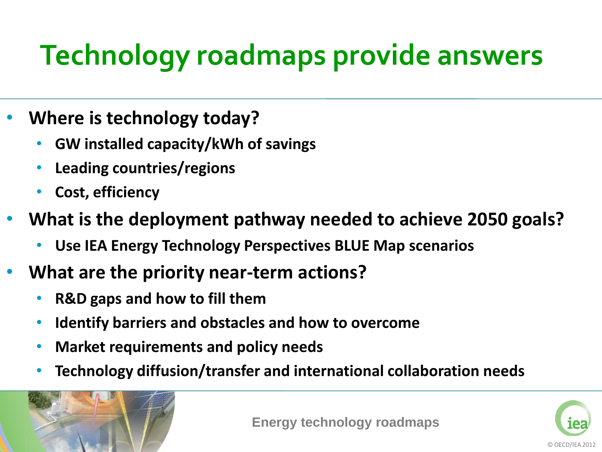### **Technology roadmaps provide answers**

- **Where is technology today?**
	- **GW installed capacity/kWh of savings**
	- **Leading countries/regions**
	- **Cost, efficiency**
- **What is the deployment pathway needed to achieve 2050 goals?**
	- **Use IEA Energy Technology Perspectives BLUE Map scenarios**
- **What are the priority near-term actions?**
	- **R&D gaps and how to fill them**
	- **Identify barriers and obstacles and how to overcome**
	- **Market requirements and policy needs**
	- **Technology diffusion/transfer and international collaboration needs**



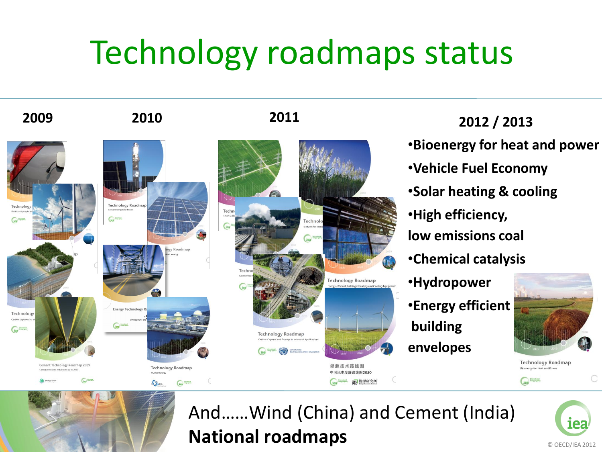## Technology roadmaps status





**Technology Roadmap** 

**SINEA** 

 $\left(\frac{1}{100}\right)$ 



**2009 2010 2011 2012 / 2013**

•**Bioenergy for heat and power**

•**Vehicle Fuel Economy**

•**Solar heating & cooling**

•**High efficiency,** 

**low emissions coal**

•**Chemical catalysis**

•**Hydropower**

•**Energy efficient building envelopes**



**Technology Roadmap** Bioenergy for Heat and Powe

iea<sup>bloom</sup>



And……Wind (China) and Cement (India) **National roadmaps**

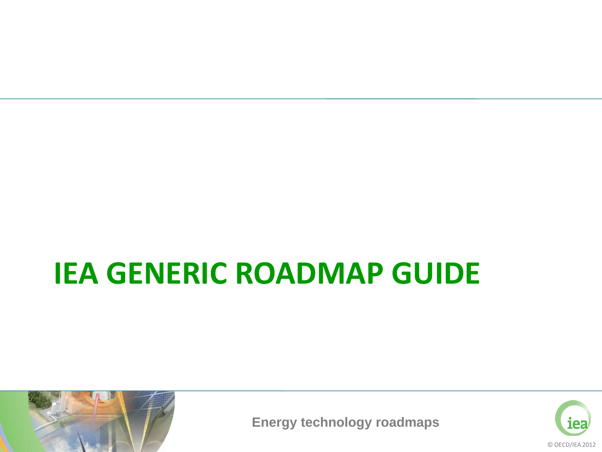#### **IEA GENERIC ROADMAP GUIDE**



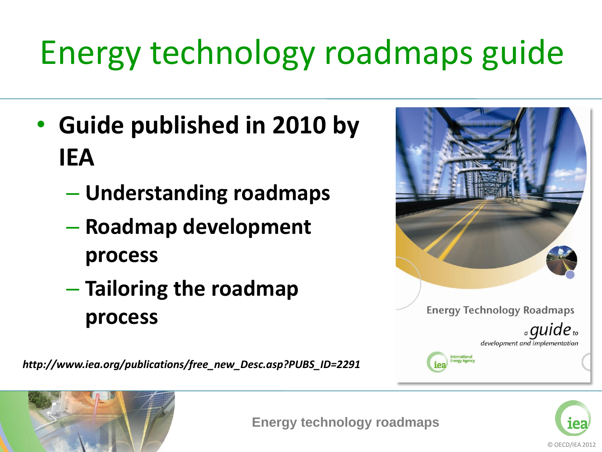# Energy technology roadmaps guide

- **Guide published in 2010 by IEA**
	- **Understanding roadmaps**
	- **Roadmap development process**
	- **Tailoring the roadmap process**

*http://www.iea.org/publications/free\_new\_Desc.asp?PUBS\_ID=2291*





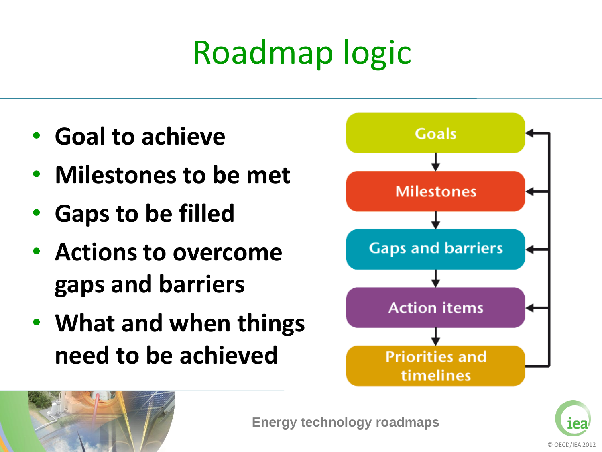# Roadmap logic

- **Goal to achieve**
- **Milestones to be met**
- **Gaps to be filled**
- **Actions to overcome gaps and barriers**
- **What and when things need to be achieved**





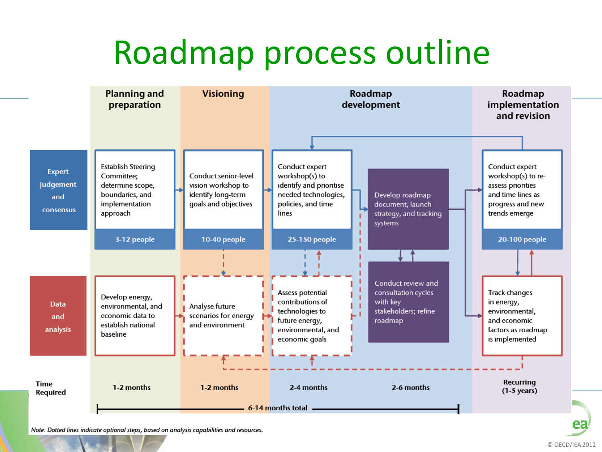## Roadmap process outline

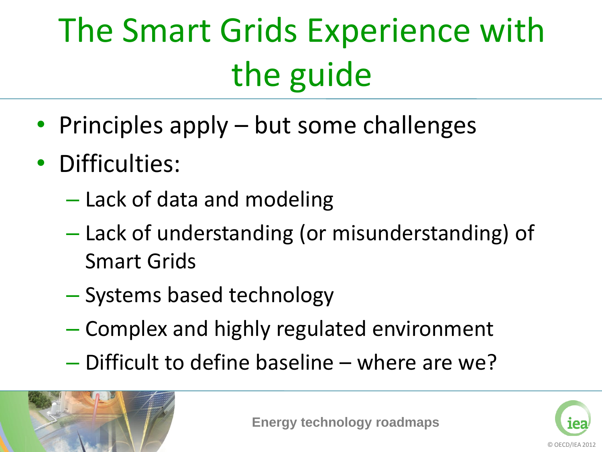# The Smart Grids Experience with the guide

- Principles apply but some challenges
- Difficulties:
	- Lack of data and modeling
	- Lack of understanding (or misunderstanding) of Smart Grids
	- Systems based technology
	- Complex and highly regulated environment
	- Difficult to define baseline where are we?



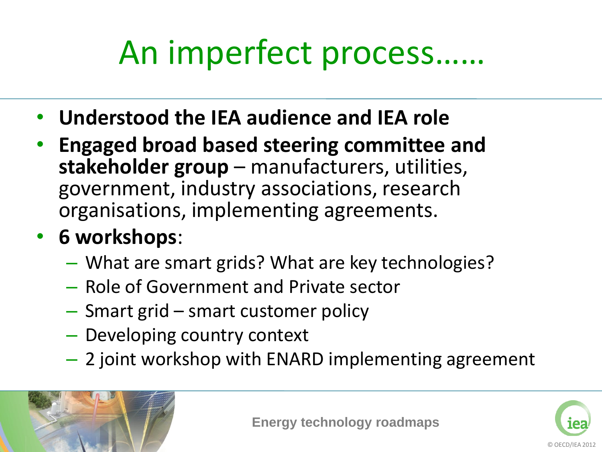## An imperfect process……

- **Understood the IEA audience and IEA role**
- **Engaged broad based steering committee and stakeholder group** – manufacturers, utilities, government, industry associations, research organisations, implementing agreements.

#### • **6 workshops**:

- What are smart grids? What are key technologies?
- Role of Government and Private sector
- Smart grid smart customer policy
- Developing country context
- 2 joint workshop with ENARD implementing agreement



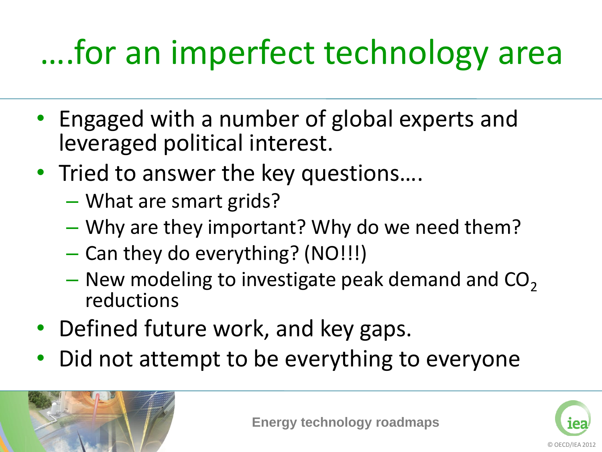# ….for an imperfect technology area

- Engaged with a number of global experts and leveraged political interest.
- Tried to answer the key questions....
	- What are smart grids?
	- Why are they important? Why do we need them?
	- Can they do everything? (NO!!!)
	- New modeling to investigate peak demand and  $CO<sub>2</sub>$ reductions
- Defined future work, and key gaps.
- Did not attempt to be everything to everyone



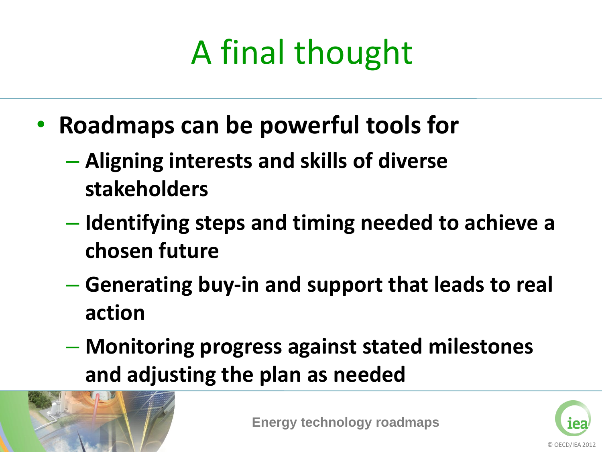# A final thought

- **Roadmaps can be powerful tools for** 
	- **Aligning interests and skills of diverse stakeholders**
	- **Identifying steps and timing needed to achieve a chosen future**
	- **Generating buy-in and support that leads to real action**
	- **Monitoring progress against stated milestones and adjusting the plan as needed**



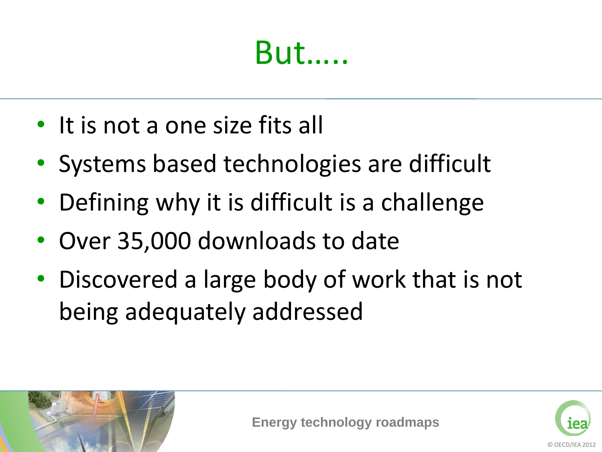### But…..

- It is not a one size fits all
- Systems based technologies are difficult
- Defining why it is difficult is a challenge
- Over 35,000 downloads to date
- Discovered a large body of work that is not being adequately addressed